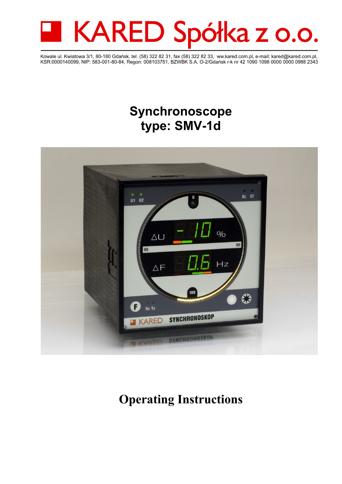

Kowale ul. Kwiatowa 3/1, 80-180 Gdańsk, tel. (58) 322 82 31, fax (58) 322 82 33, ww.kared.com.pl, e-mail: kared@kared.com.pl, KSR:0000140099, NIP: 583-001-80-84, Regon: 008103751, BZWBK S.A. O-2/Gdańsk r-k nr 42 1090 1098 0000 0000 0988 2343

# **Synchronoscope type: SMV-1d**



# **Operating Instructions**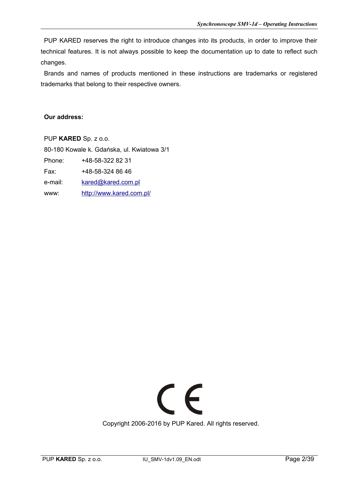PUP KARED reserves the right to introduce changes into its products, in order to improve their technical features. It is not always possible to keep the documentation up to date to reflect such changes.

Brands and names of products mentioned in these instructions are trademarks or registered trademarks that belong to their respective owners.

#### **Our address:**

PUP **KARED** Sp. z o.o. 80-180 Kowale k. Gdańska, ul. Kwiatowa 3/1 Phone: +48-58-322 82 31 Fax: +48-58-324 86 46 e-mail: [kared@kared.com.pl](mailto:kared@kared.com.pl) www: <http://www.kared.com.pl/>

# $C \in$

Copyright 2006-2016 by PUP Kared. All rights reserved.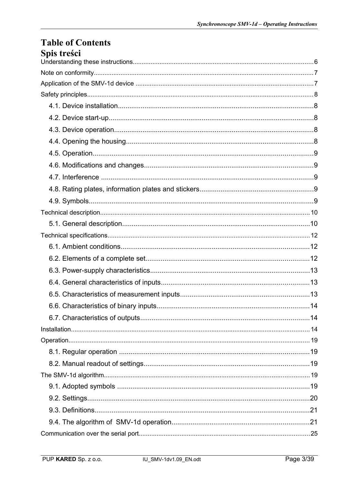# **Table of Contents** Snis treści

| nhis u csci |  |
|-------------|--|
|             |  |
|             |  |
|             |  |
|             |  |
|             |  |
|             |  |
|             |  |
|             |  |
|             |  |
|             |  |
|             |  |
|             |  |
|             |  |
|             |  |
|             |  |
|             |  |
|             |  |
|             |  |
|             |  |
|             |  |
|             |  |
|             |  |
|             |  |
|             |  |
|             |  |
|             |  |
|             |  |
|             |  |
|             |  |
|             |  |
|             |  |
|             |  |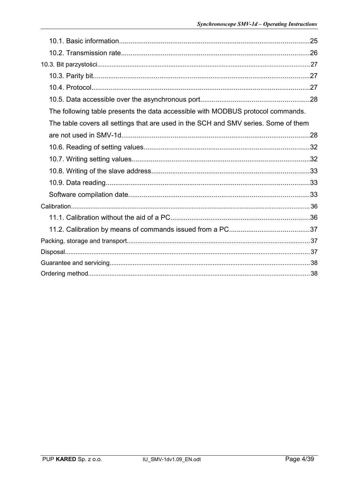| The following table presents the data accessible with MODBUS protocol commands.     |  |
|-------------------------------------------------------------------------------------|--|
| The table covers all settings that are used in the SCH and SMV series. Some of them |  |
|                                                                                     |  |
|                                                                                     |  |
|                                                                                     |  |
|                                                                                     |  |
|                                                                                     |  |
|                                                                                     |  |
|                                                                                     |  |
|                                                                                     |  |
|                                                                                     |  |
|                                                                                     |  |
|                                                                                     |  |
|                                                                                     |  |
|                                                                                     |  |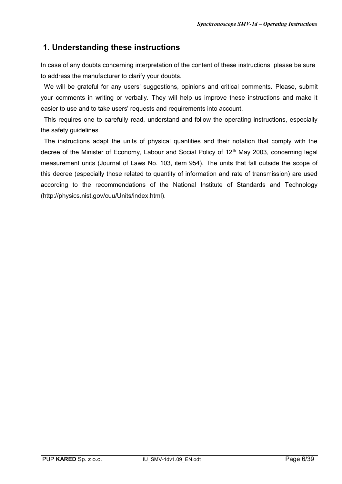# **1. Understanding these instructions**

In case of any doubts concerning interpretation of the content of these instructions, please be sure to address the manufacturer to clarify your doubts.

We will be grateful for any users' suggestions, opinions and critical comments. Please, submit your comments in writing or verbally. They will help us improve these instructions and make it easier to use and to take users' requests and requirements into account.

This requires one to carefully read, understand and follow the operating instructions, especially the safety guidelines.

The instructions adapt the units of physical quantities and their notation that comply with the decree of the Minister of Economy, Labour and Social Policy of 12<sup>th</sup> May 2003, concerning legal measurement units (Journal of Laws No. 103, item 954). The units that fall outside the scope of this decree (especially those related to quantity of information and rate of transmission) are used according to the recommendations of the National Institute of Standards and Technology (http://physics.nist.gov/cuu/Units/index.html).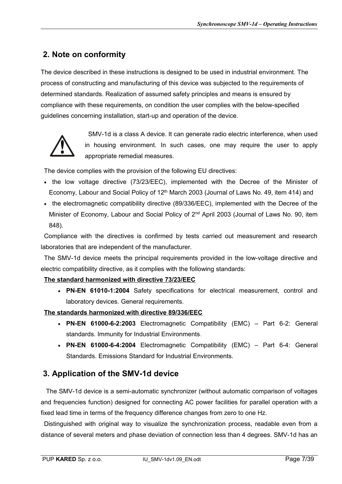# **2. Note on conformity**

The device described in these instructions is designed to be used in industrial environment. The process of constructing and manufacturing of this device was subjected to the requirements of determined standards. Realization of assumed safety principles and means is ensured by compliance with these requirements, on condition the user complies with the below-specified guidelines concerning installation, start-up and operation of the device.



SMV-1d is a class A device. It can generate radio electric interference, when used in housing environment. In such cases, one may require the user to apply appropriate remedial measures.

The device complies with the provision of the following EU directives:

- the low voltage directive (73/23/EEC), implemented with the Decree of the Minister of Economy, Labour and Social Policy of  $12<sup>th</sup>$  March 2003 (Journal of Laws No. 49, item 414) and
- the electromagnetic compatibility directive (89/336/EEC), implemented with the Decree of the Minister of Economy, Labour and Social Policy of 2<sup>nd</sup> April 2003 (Journal of Laws No. 90, item 848).

Compliance with the directives is confirmed by tests carried out measurement and research laboratories that are independent of the manufacturer.

The SMV-1d device meets the principal requirements provided in the low-voltage directive and electric compatibility directive, as it complies with the following standards:

#### **The standard harmonized with directive 73/23/EEC**

 **PN-EN 61010-1:2004** Safety specifications for electrical measurement, control and laboratory devices. General requirements.

**The standards harmonized with directive 89/336/EEC**

- **PN-EN 61000-6-2:2003** Electromagnetic Compatibility (EMC) Part 6-2: General standards. Immunity for Industrial Environments.
- **PN-EN 61000-6-4:2004** Electromagnetic Compatibility (EMC) Part 6-4: General Standards. Emissions Standard for Industrial Environments.

# **3. Application of the SMV-1d device**

 The SMV-1d device is a semi-automatic synchronizer (without automatic comparison of voltages and frequencies function) designed for connecting AC power facilities for parallel operation with a fixed lead time in terms of the frequency difference changes from zero to one Hz.

Distinguished with original way to visualize the synchronization process, readable even from a distance of several meters and phase deviation of connection less than 4 degrees. SMV-1d has an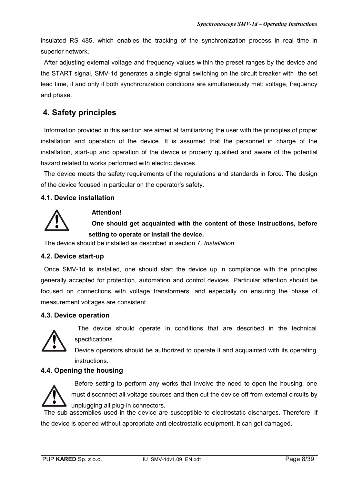insulated RS 485, which enables the tracking of the synchronization process in real time in superior network.

After adjusting external voltage and frequency values within the preset ranges by the device and the START signal, SMV-1d generates a single signal switching on the circuit breaker with the set lead time, if and only if both synchronization conditions are simultaneously met: voltage, frequency and phase.

# **4. Safety principles**

Information provided in this section are aimed at familiarizing the user with the principles of proper installation and operation of the device. It is assumed that the personnel in charge of the installation, start-up and operation of the device is properly qualified and aware of the potential hazard related to works performed with electric devices.

The device meets the safety requirements of the regulations and standards in force. The design of the device focused in particular on the operator's safety.

#### **4.1. Device installation**



#### **Attention!**

**One should get acquainted with the content of these instructions, before setting to operate or install the device.**

The device should be installed as described in section 7. *Installation.*

#### **4.2. Device start-up**

Once SMV-1d is installed, one should start the device up in compliance with the principles generally accepted for protection, automation and control devices. Particular attention should be focused on connections with voltage transformers, and especially on ensuring the phase of measurement voltages are consistent.

#### **4.3. Device operation**



The device should operate in conditions that are described in the technical specifications.

Device operators should be authorized to operate it and acquainted with its operating instructions.

#### **4.4. Opening the housing**



Before setting to perform any works that involve the need to open the housing, one must disconnect all voltage sources and then cut the device off from external circuits by unplugging all plug-in connectors.

The sub-assemblies used in the device are susceptible to electrostatic discharges. Therefore, if the device is opened without appropriate anti-electrostatic equipment, it can get damaged.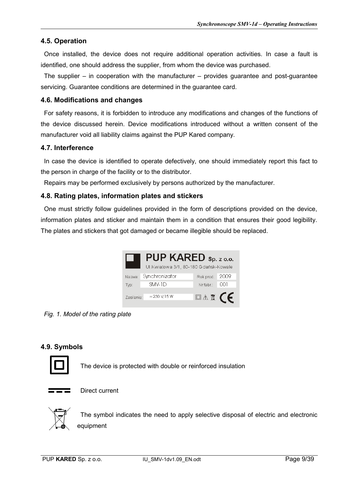#### **4.5. Operation**

Once installed, the device does not require additional operation activities. In case a fault is identified, one should address the supplier, from whom the device was purchased.

The supplier  $-$  in cooperation with the manufacturer  $-$  provides guarantee and post-guarantee servicing. Guarantee conditions are determined in the guarantee card.

#### **4.6. Modifications and changes**

For safety reasons, it is forbidden to introduce any modifications and changes of the functions of the device discussed herein. Device modifications introduced without a written consent of the manufacturer void all liability claims against the PUP Kared company.

#### **4.7. Interference**

In case the device is identified to operate defectively, one should immediately report this fact to the person in charge of the facility or to the distributor.

Repairs may be performed exclusively by persons authorized by the manufacturer.

#### **4.8. Rating plates, information plates and stickers**

One must strictly follow guidelines provided in the form of descriptions provided on the device, information plates and sticker and maintain them in a condition that ensures their good legibility. The plates and stickers that got damaged or became illegible should be replaced.

|            | PUP KARED Sp. z o.o.<br>UI.Kwiatowa 3/1, 80-180 Gdańsk-Kowale |                                        |  |
|------------|---------------------------------------------------------------|----------------------------------------|--|
| Nazwa:     | Synchronizator                                                | Rok prod.: 2009                        |  |
| Typ:       | SMV-1D                                                        | Nrfabr.: 001                           |  |
| Zasilanie: | $= 230$ V; 15 W                                               | $\Box \wedge \overline{\mathbb{X}}$ (E |  |

*Fig. 1. Model of the rating plate*

#### **4.9. Symbols**



The device is protected with double or reinforced insulation



Direct current



The symbol indicates the need to apply selective disposal of electric and electronic equipment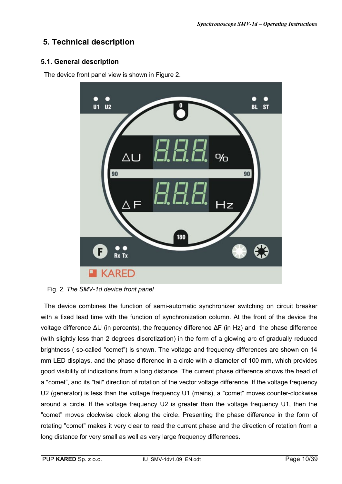# **5. Technical description**

#### **5.1. General description**

The device front panel view is shown in Figure 2.



Fig. 2. *The SMV-1d device front panel*

The device combines the function of semi-automatic synchronizer switching on circuit breaker with a fixed lead time with the function of synchronization column. At the front of the device the voltage difference ΔU (in percents), the frequency difference ΔF (in Hz) and the phase difference (with slightly less than 2 degrees discretization) in the form of a glowing arc of gradually reduced brightness ( so-called "comet") is shown. The voltage and frequency differences are shown on 14 mm LED displays, and the phase difference in a circle with a diameter of 100 mm, which provides good visibility of indications from a long distance. The current phase difference shows the head of a "comet", and its "tail" direction of rotation of the vector voltage difference. If the voltage frequency U2 (generator) is less than the voltage frequency U1 (mains), a "comet" moves counter-clockwise around a circle. If the voltage frequency U2 is greater than the voltage frequency U1, then the "comet" moves clockwise clock along the circle. Presenting the phase difference in the form of rotating "comet" makes it very clear to read the current phase and the direction of rotation from a long distance for very small as well as very large frequency differences.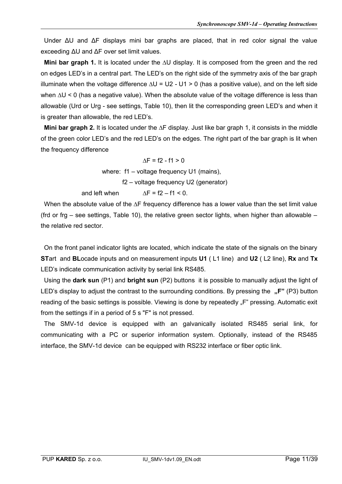Under ΔU and ΔF displays mini bar graphs are placed, that in red color signal the value exceeding ΔU and ΔF over set limit values.

**Mini bar graph 1.** It is located under the ∆U display. It is composed from the green and the red on edges LED's in a central part. The LED's on the right side of the symmetry axis of the bar graph illuminate when the voltage difference  $\Delta U = U2 - U1 > 0$  (has a positive value), and on the left side when ∆U < 0 (has a negative value). When the absolute value of the voltage difference is less than allowable (Urd or Urg - see settings, Table 10), then lit the corresponding green LED's and when it is greater than allowable, the red LED's.

**Mini bar graph 2.** It is located under the ∆F display. Just like bar graph 1, it consists in the middle of the green color LED's and the red LED's on the edges. The right part of the bar graph is lit when the frequency difference

> $\Delta F = f2 - f1 > 0$ where: f1 – voltage frequency U1 (mains), f2 – voltage frequency U2 (generator) and left when  $\Delta F = f2 - f1 \le 0$ .

When the absolute value of the ∆F frequency difference has a lower value than the set limit value (frd or frg – see settings, Table 10), the relative green sector lights, when higher than allowable – the relative red sector.

On the front panel indicator lights are located, which indicate the state of the signals on the binary **ST**art and **BL**ocade inputs and on measurement inputs **U1** ( L1 line) and **U2** ( L2 line), **Rx** and **Tx** LED's indicate communication activity by serial link RS485.

Using the **dark sun** (P1) and **bright sun** (P2) buttons it is possible to manually adjust the light of LED's display to adjust the contrast to the surrounding conditions. By pressing the "F" (P3) button reading of the basic settings is possible. Viewing is done by repeatedly "F" pressing. Automatic exit from the settings if in a period of 5 s "F" is not pressed.

The SMV-1d device is equipped with an galvanically isolated RS485 serial link, for communicating with a PC or superior information system. Optionally, instead of the RS485 interface, the SMV-1d device can be equipped with RS232 interface or fiber optic link.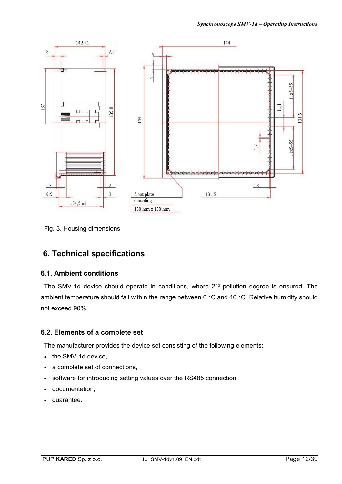

Fig. 3. Housing dimensions

# **6. Technical specifications**

#### **6.1. Ambient conditions**

The SMV-1d device should operate in conditions, where  $2<sup>nd</sup>$  pollution degree is ensured. The ambient temperature should fall within the range between 0 °C and 40 °C. Relative humidity should not exceed 90%.

#### **6.2. Elements of a complete set**

The manufacturer provides the device set consisting of the following elements:

- the SMV-1d device.
- a complete set of connections,
- software for introducing setting values over the RS485 connection,
- documentation,
- quarantee.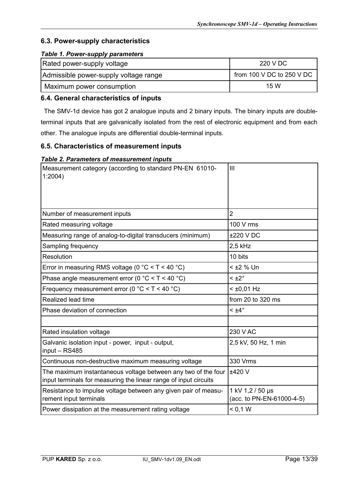#### **6.3. Power-supply characteristics**

#### *Table 1. Power-supply parameters*

| Rated power-supply voltage            | 220 V DC                  |
|---------------------------------------|---------------------------|
| Admissible power-supply voltage range | from 100 V DC to 250 V DC |
| Maximum power consumption             | 15 W                      |

#### **6.4. General characteristics of inputs**

The SMV-1d device has got 2 analogue inputs and 2 binary inputs. The binary inputs are doubleterminal inputs that are galvanically isolated from the rest of electronic equipment and from each other. The analogue inputs are differential double-terminal inputs.

#### **6.5. Characteristics of measurement inputs**

#### *Table 2. Parameters of measurement inputs*

| Measurement category (according to standard PN-EN 61010-<br>1:2004                                                                | Ш                                             |
|-----------------------------------------------------------------------------------------------------------------------------------|-----------------------------------------------|
|                                                                                                                                   |                                               |
| Number of measurement inputs                                                                                                      | $\overline{2}$                                |
| Rated measuring voltage                                                                                                           | 100 V rms                                     |
| Measuring range of analog-to-digital transducers (minimum)                                                                        | ±220 V DC                                     |
| Sampling frequency                                                                                                                | 2,5 kHz                                       |
| Resolution                                                                                                                        | 10 bits                                       |
| Error in measuring RMS voltage (0 $^{\circ}$ C < T < 40 $^{\circ}$ C)                                                             | < ±2 % Un                                     |
| Phase angle measurement error (0 $^{\circ}$ C < T < 40 $^{\circ}$ C)                                                              | $< \pm 2^{\circ}$                             |
| Frequency measurement error (0 $^{\circ}$ C < T < 40 $^{\circ}$ C)                                                                | $<$ ±0,01 Hz                                  |
| Realized lead time                                                                                                                | from 20 to 320 ms                             |
| Phase deviation of connection                                                                                                     | $<$ ±4 $^{\circ}$                             |
|                                                                                                                                   |                                               |
| Rated insulation voltage                                                                                                          | 230 V AC                                      |
| Galvanic isolation input - power, input - output,<br>input - RS485                                                                | 2,5 kV, 50 Hz, 1 min                          |
| Continuous non-destructive maximum measuring voltage                                                                              | 330 Vrms                                      |
| The maximum instantaneous voltage between any two of the four<br>input terminals for measuring the linear range of input circuits | ±420 V                                        |
| Resistance to impulse voltage between any given pair of measu-<br>rement input terminals                                          | 1 kV 1,2 / 50 µs<br>(acc. to PN-EN-61000-4-5) |
| Power dissipation at the measurement rating voltage                                                                               | < 0.1 W                                       |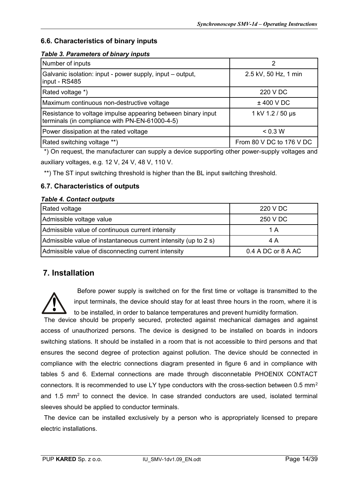#### **6.6. Characteristics of binary inputs**

#### *Table 3. Parameters of binary inputs*

| Number of inputs                                                                                               | 2                        |
|----------------------------------------------------------------------------------------------------------------|--------------------------|
| Galvanic isolation: input - power supply, input – output,<br>input - RS485                                     | 2.5 kV, 50 Hz, 1 min     |
| Rated voltage *)                                                                                               | 220 V DC                 |
| Maximum continuous non-destructive voltage                                                                     | $±$ 400 V DC             |
| Resistance to voltage impulse appearing between binary input<br>terminals (in compliance with PN-EN-61000-4-5) | 1 kV 1.2 / 50 µs         |
| Power dissipation at the rated voltage                                                                         | < 0.3 W                  |
| Rated switching voltage **)                                                                                    | From 80 V DC to 176 V DC |

\*) On request, the manufacturer can supply a device supporting other power-supply voltages and auxiliary voltages, e.g. 12 V, 24 V, 48 V, 110 V.

\*\*) The ST input switching threshold is higher than the BL input switching threshold.

#### **6.7. Characteristics of outputs**

#### *Table 4. Contact outputs*

| Rated voltage                                                   | 220 V DC           |  |
|-----------------------------------------------------------------|--------------------|--|
| Admissible voltage value                                        | 250 V DC           |  |
| Admissible value of continuous current intensity                | 1 A                |  |
| Admissible value of instantaneous current intensity (up to 2 s) | 4 A                |  |
| Admissible value of disconnecting current intensity             | 0.4 A DC or 8 A AC |  |

# **7. Installation**

**!**

Before power supply is switched on for the first time or voltage is transmitted to the input terminals, the device should stay for at least three hours in the room, where it is to be installed, in order to balance temperatures and prevent humidity formation.

The device should be properly secured, protected against mechanical damages and against access of unauthorized persons. The device is designed to be installed on boards in indoors switching stations. It should be installed in a room that is not accessible to third persons and that ensures the second degree of protection against pollution. The device should be connected in compliance with the electric connections diagram presented in figure 6 and in compliance with tables 5 and 6. External connections are made through disconnetable PHOENIX CONTACT connectors. It is recommended to use LY type conductors with the cross-section between 0.5 mm<sup>2</sup> and 1.5 mm<sup>2</sup> to connect the device. In case stranded conductors are used, isolated terminal sleeves should be applied to conductor terminals.

The device can be installed exclusively by a person who is appropriately licensed to prepare electric installations.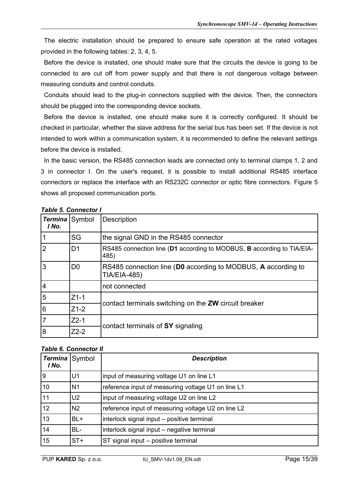The electric installation should be prepared to ensure safe operation at the rated voltages provided in the following tables: 2, 3, 4, 5.

Before the device is installed, one should make sure that the circuits the device is going to be connected to are cut off from power supply and that there is not dangerous voltage between measuring conduits and control conduits.

Conduits should lead to the plug-in connectors supplied with the device. Then, the connectors should be plugged into the corresponding device sockets.

Before the device is installed, one should make sure it is correctly configured. It should be checked in particular, whether the slave address for the serial bus has been set. If the device is not intended to work within a communication system, it is recommended to define the relevant settings before the device is installed.

In the basic version, the RS485 connection leads are connected only to terminal clamps 1, 2 and 3 in connector I. On the user's request, it is possible to install additional RS485 interface connectors or replace the interface with an RS232C connector or optic fibre connectors. Figure 5 shows all proposed communication ports.

| Termina Symbol<br>I No. |                | <b>Description</b>                                                                   |  |
|-------------------------|----------------|--------------------------------------------------------------------------------------|--|
|                         | SG             | the signal GND in the RS485 connector                                                |  |
|                         | D <sub>1</sub> | RS485 connection line (D1 according to MODBUS, B according to TIA/EIA-<br>485)       |  |
| 3                       | D <sub>0</sub> | RS485 connection line (D0 according to MODBUS, A according to<br><b>TIA/EIA-485)</b> |  |
| $\overline{4}$          |                | not connected                                                                        |  |
| 5                       | $Z1-1$         |                                                                                      |  |
| 6                       | $Z1-2$         | contact terminals switching on the ZW circuit breaker                                |  |
|                         | $Z2-1$         |                                                                                      |  |
| 8                       | $Z2-2$         | contact terminals of SY signaling                                                    |  |

#### *Table 5. Connector I*

#### *Table 6. Connector II*

|                         | TUDIE V. COMICCIÓN II |                                                    |
|-------------------------|-----------------------|----------------------------------------------------|
| Termina Symbol<br>I No. |                       | <b>Description</b>                                 |
| l 9                     | U <sub>1</sub>        | input of measuring voltage U1 on line L1           |
| 10                      | N <sub>1</sub>        | reference input of measuring voltage U1 on line L1 |
| 11                      | U <sub>2</sub>        | input of measuring voltage U2 on line L2           |
| 12                      | N <sub>2</sub>        | reference input of measuring voltage U2 on line L2 |
| 13                      | BL+                   | interlock signal input - positive terminal         |
| 14                      | BL-                   | interlock signal input – negative terminal         |
| 15                      | $ST+$                 | ST signal input - positive terminal                |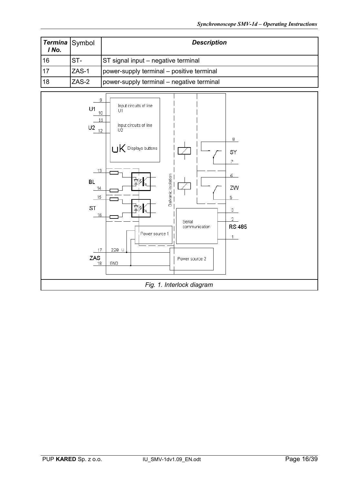| I No. |         | <b>Description</b>                        |
|-------|---------|-------------------------------------------|
| 16    | $ST-$   | ST signal input – negative terminal       |
| 17ء   | ZAS-1   | power-supply terminal – positive terminal |
| 18    | $ZAS-2$ | power-supply terminal - negative terminal |

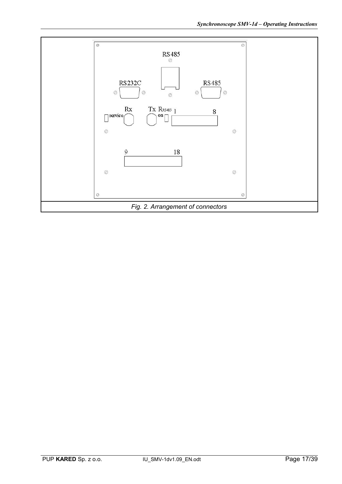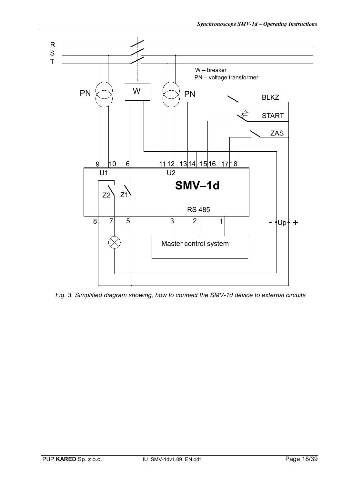

*Fig. 3. Simplified diagram showing, how to connect the SMV-1d device to external circuits*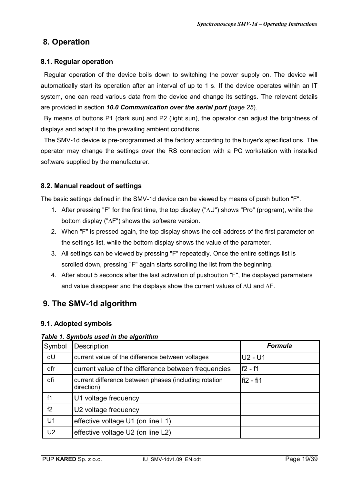# **8. Operation**

#### **8.1. Regular operation**

Regular operation of the device boils down to switching the power supply on. The device will automatically start its operation after an interval of up to 1 s. If the device operates within an IT system, one can read various data from the device and change its settings. The relevant details are provided in section *10.0 Communication over the serial port (page 25*).

By means of buttons P1 (dark sun) and P2 (light sun), the operator can adjust the brightness of displays and adapt it to the prevailing ambient conditions.

The SMV-1d device is pre-programmed at the factory according to the buyer's specifications. The operator may change the settings over the RS connection with a PC workstation with installed software supplied by the manufacturer.

#### **8.2. Manual readout of settings**

The basic settings defined in the SMV-1d device can be viewed by means of push button "F".

- 1. After pressing "F" for the first time, the top display ("∆U") shows "Pro" (program), while the bottom display ("∆F") shows the software version.
- 2. When "F" is pressed again, the top display shows the cell address of the first parameter on the settings list, while the bottom display shows the value of the parameter.
- 3. All settings can be viewed by pressing "F" repeatedly. Once the entire settings list is scrolled down, pressing "F" again starts scrolling the list from the beginning.
- 4. After about 5 seconds after the last activation of pushbutton "F", the displayed parameters and value disappear and the displays show the current values of ∆U and ∆F.

# **9. The SMV-1d algorithm**

#### **9.1. Adopted symbols**

*Table 1. Symbols used in the algorithm*

| Symbol         | Description                                                         | <b>Formula</b> |
|----------------|---------------------------------------------------------------------|----------------|
| dU             | current value of the difference between voltages                    | $U2 - U1$      |
| dfr            | current value of the difference between frequencies                 | f2 - f1        |
| dfi            | current difference between phases (including rotation<br>direction) | l fi2 - fi1    |
| f1             | U1 voltage frequency                                                |                |
| f2             | U2 voltage frequency                                                |                |
| U1             | effective voltage U1 (on line L1)                                   |                |
| U <sub>2</sub> | effective voltage U2 (on line L2)                                   |                |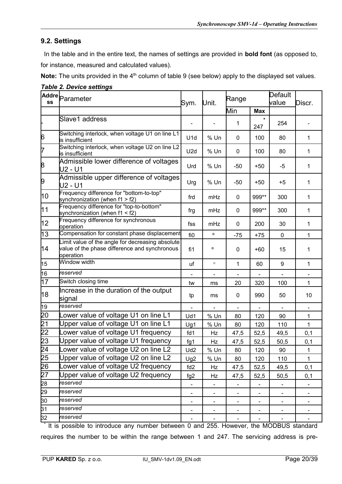#### **9.2. Settings**

In the table and in the entire text, the names of settings are provided in **bold font** (as opposed to, for instance, measured and calculated values).

**Note:** The units provided in the 4<sup>th</sup> column of table 9 (see below) apply to the displayed set values.

| SS              | Addre $ $ Parameter                                                                                            | Sym.            | Unit.        | Range             |                              | Default<br>value<br>Discr.   |              |
|-----------------|----------------------------------------------------------------------------------------------------------------|-----------------|--------------|-------------------|------------------------------|------------------------------|--------------|
|                 |                                                                                                                |                 |              | Min<br><b>Max</b> |                              |                              |              |
|                 | Slave1 address                                                                                                 |                 |              | 1                 | $\star$<br>247               | 254                          |              |
| 6               | Switching interlock, when voltage U1 on line L1<br>is insufficient                                             | U <sub>1d</sub> | % Un         | 0                 | 100                          | 80                           | 1            |
| 7               | Switching interlock, when voltage U2 on line L2<br>is insufficient                                             | U2d             | % Un         | 0                 | 100                          | 80                           | 1            |
| 8               | Admissible lower difference of voltages<br>U2 - U1                                                             | Urd             | % Un         | $-50$             | $+50$                        | -5                           | 1            |
| þ,              | Admissible upper difference of voltages<br>U2 - U1                                                             | Urg             | % Un         | -50               | $+50$                        | $+5$                         | 1            |
| 10              | Frequency difference for "bottom-to-top"<br>synchronization (when $f1 > f2$ )                                  | frd             | mHz          | 0                 | 999**                        | 300                          | 1            |
| 111             | Frequency difference for "top-to-bottom"<br>synchronization (when $f1 < f2$ )                                  | frg             | mHz          | 0                 | 999**                        | 300                          | 1            |
| 12              | Frequency difference for synchronous<br>operation                                                              | fss             | mHz          | 0                 | 200                          | 30                           | 1            |
| 13              | Compensation for constant phase displacement                                                                   | fi0             | o            | $-75$             | $+75$                        | 0                            | 1            |
| 14              | Limit value of the angle for decreasing absolute<br>value of the phase difference and synchronous<br>operation | fi1             | $\mathbf{o}$ | 0                 | $+60$                        | 15                           | 1            |
| 15              | Window width                                                                                                   | uf              | $\circ$      | 1                 | 60                           | 9                            | 1            |
| 16              | lreserved                                                                                                      |                 |              |                   |                              |                              |              |
| 17              | Switch closing time                                                                                            | tw              | ms           | 20                | 320                          | 100                          | $\mathbf{1}$ |
| 18              | Increase in the duration of the output<br>signal                                                               | tp              | ms           | 0                 | 990                          | 50                           | 10           |
| 19              | reserved                                                                                                       |                 |              |                   |                              |                              |              |
| 20              | ower value of voltage U1 on line L1                                                                            | Ud1             | % Un         | 80                | 120                          | 90                           | 1            |
| $\overline{21}$ | Upper value of voltage U1 on line L1                                                                           | Ug1             | % Un         | 80                | 120                          | 110                          | $\mathbf{1}$ |
| $\frac{22}{23}$ | ower value of voltage U1 frequency                                                                             | f d1            | Hz           | 47,5              | 52,5                         | 49,5                         | 0,1          |
|                 | Upper value of voltage U1 frequency                                                                            | fg1             | Hz           | 47,5              | 52,5                         | 50,5                         | 0,1          |
|                 | Lower value of voltage U2 on line L2                                                                           | Ud <sub>2</sub> | % Un         | 80                | 120                          | 90                           | 1            |
| $\frac{24}{25}$ | Upper value of voltage U2 on line L2                                                                           | Ug2             | % Un         | 80                | 120                          | 110                          | $\mathbf{1}$ |
| $\overline{26}$ | ower value of voltage U2 frequency                                                                             | fd <sub>2</sub> | Hz           | 47,5              | 52,5                         | 49,5                         | 0,1          |
| 27              | Upper value of voltage U2 frequency                                                                            | fg <sub>2</sub> | Hz           | 47,5              | 52,5                         | 50,5                         | 0,1          |
| 28              | reserved                                                                                                       |                 |              |                   |                              |                              |              |
| 29              | reserved                                                                                                       | -               |              |                   | -                            |                              |              |
| 30              | reserved                                                                                                       | -               | -            | -                 | $\qquad \qquad \blacksquare$ | $\qquad \qquad \blacksquare$ | -            |
| 31              | reserved                                                                                                       |                 |              |                   | -                            |                              |              |
| 32              | reserved                                                                                                       |                 |              |                   |                              |                              |              |

*Table 2. Device settings*

\* It is possible to introduce any number between 0 and 255. However, the MODBUS standard requires the number to be within the range between 1 and 247. The servicing address is pre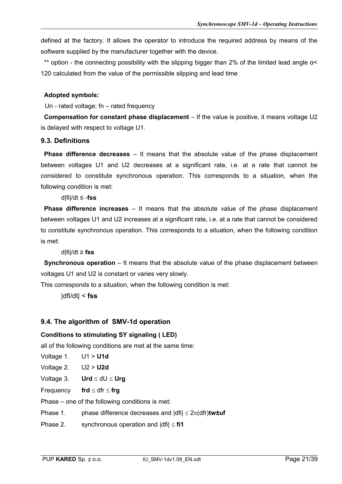defined at the factory. It allows the operator to introduce the required address by means of the software supplied by the manufacturer together with the device.

\*\* option - the connecting possibility with the slipping bigger than 2% of the limited lead angle α< 120 calculated from the value of the permissible slipping and lead time

#### **Adopted symbols:**

Un - rated voltage; fn – rated frequency

**Compensation for constant phase displacement** – If the value is positive, it means voltage U2 is delayed with respect to voltage U1.

#### **9.3. Definitions**

**Phase difference decreases** – It means that the absolute value of the phase displacement between voltages U1 and U2 decreases at a significant rate, i.e. at a rate that cannot be considered to constitute synchronous operation. This corresponds to a situation, when the following condition is met:

d|fi|/dt ≤ -**fss**

**Phase difference increases** – It means that the absolute value of the phase displacement between voltages U1 and U2 increases at a significant rate, i.e. at a rate that cannot be considered to constitute synchronous operation. This corresponds to a situation, when the following condition is met:

d|fi|/dt ≥ **fss**

**Synchronous operation** – It means that the absolute value of the phase displacement between voltages U1 and U2 is constant or varies very slowly.

This corresponds to a situation, when the following condition is met:

|dfi/dt| < **fss**

#### **9.4. The algorithm of SMV-1d operation**

#### **Conditions to stimulating SY signaling ( LED)**

all of the following conditions are met at the same time:

- Voltage 1. U1 > **U1d**
- Voltage 2. U2 > **U2d**
- Voltage 3. **Urd**  $\leq$  dU  $\leq$  **Urg**

Frequency **frd**  $\leq$  dfr  $\leq$  **frg** 

Phase – one of the following conditions is met:

Phase 1. phase difference decreases and  $|dfi| \leq 2\pi (dfr)$ tw**±uf** 

Phase 2. synchronous operation and  $\text{Id}$   $\text{Id}$   $\leq$  **fi1**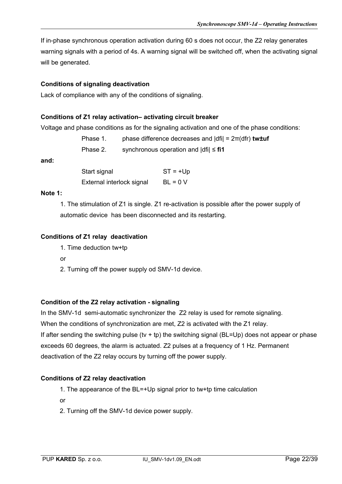If in-phase synchronous operation activation during 60 s does not occur, the Z2 relay generates warning signals with a period of 4s. A warning signal will be switched off, when the activating signal will be generated.

#### **Conditions of signaling deactivation**

Lack of compliance with any of the conditions of signaling.

#### **Conditions of Z1 relay activation– activating circuit breaker**

Voltage and phase conditions as for the signaling activation and one of the phase conditions:

Phase 1. phase difference decreases and |dfi| = 2π(dfr) **tw±uf**

Phase 2. synchronous operation and |dfi| ≤ **fi1**

#### **and:**

Start signal ST = +Up External interlock signal  $BL = 0$  V

#### **Note 1:**

1. The stimulation of Z1 is single. Z1 re-activation is possible after the power supply of automatic device has been disconnected and its restarting.

#### **Conditions of Z1 relay deactivation**

1. Time deduction tw+tp

or

2. Turning off the power supply od SMV-1d device.

#### **Condition of the Z2 relay activation - signaling**

In the SMV-1d semi-automatic synchronizer the Z2 relay is used for remote signaling.

When the conditions of synchronization are met, Z2 is activated with the Z1 relay.

If after sending the switching pulse (tv + tp) the switching signal (BL=Up) does not appear or phase exceeds 60 degrees, the alarm is actuated. Z2 pulses at a frequency of 1 Hz. Permanent deactivation of the Z2 relay occurs by turning off the power supply.

#### **Conditions of Z2 relay deactivation**

1. The appearance of the BL=+Up signal prior to tw+tp time calculation

or

2. Turning off the SMV-1d device power supply.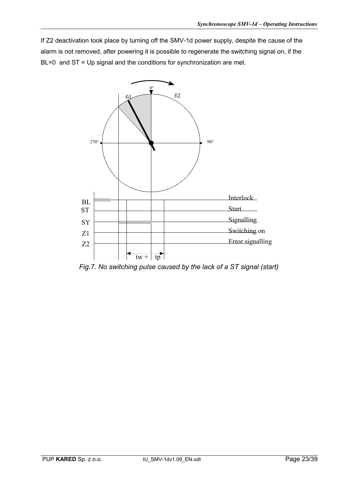If Z2 deactivation took place by turning off the SMV-1d power supply, despite the cause of the alarm is not removed, after powering it is possible to regenerate the switching signal on, if the BL=0 and ST = Up signal and the conditions for synchronization are met.



*Fig.7. No switching pulse caused by the lack of a ST signal (start)*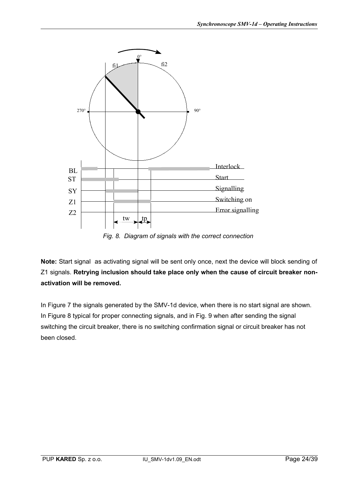

*Fig. 8. Diagram of signals with the correct connection*

**Note:** Start signal as activating signal will be sent only once, next the device will block sending of Z1 signals. **Retrying inclusion should take place only when the cause of circuit breaker nonactivation will be removed.** 

In Figure 7 the signals generated by the SMV-1d device, when there is no start signal are shown. In Figure 8 typical for proper connecting signals, and in Fig. 9 when after sending the signal switching the circuit breaker, there is no switching confirmation signal or circuit breaker has not been closed.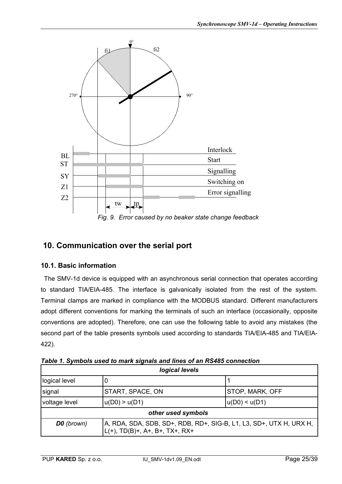

# **10. Communication over the serial port**

#### **10.1. Basic information**

The SMV-1d device is equipped with an asynchronous serial connection that operates according to standard TIA/EIA-485. The interface is galvanically isolated from the rest of the system. Terminal clamps are marked in compliance with the MODBUS standard. Different manufacturers adopt different conventions for marking the terminals of such an interface (occasionally, opposite conventions are adopted). Therefore, one can use the following table to avoid any mistakes (the second part of the table presents symbols used according to standards TIA/EIA-485 and TIA/EIA-422).

| logical levels                                                                                                             |                                            |  |  |  |
|----------------------------------------------------------------------------------------------------------------------------|--------------------------------------------|--|--|--|
| logical level                                                                                                              |                                            |  |  |  |
| signal                                                                                                                     | <b>START, SPACE, ON</b><br>STOP, MARK, OFF |  |  |  |
| voltage level                                                                                                              | $ u(D0)$ > $u(D1)$<br>u(D0) < u(D1)        |  |  |  |
| other used symbols                                                                                                         |                                            |  |  |  |
| A, RDA, SDA, SDB, SD+, RDB, RD+, SIG-B, L1, L3, SD+, UTX H, URX H,<br><b>D0</b> (brown)<br>IL(+), TD(B)+, A+, B+, TX+, RX+ |                                            |  |  |  |

*Table 1. Symbols used to mark signals and lines of an RS485 connection*

٦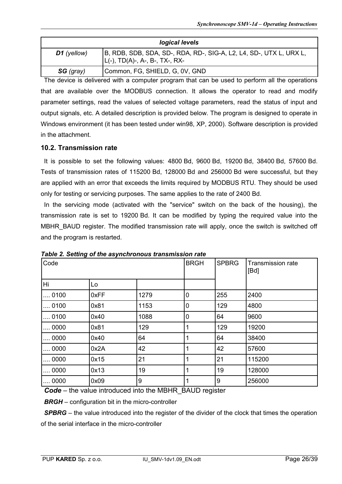| logical levels |                                                                                                          |  |  |
|----------------|----------------------------------------------------------------------------------------------------------|--|--|
| $D1$ (yellow)  | B, RDB, SDB, SDA, SD-, RDA, RD-, SIG-A, L2, L4, SD-, UTX L, URX L,<br>$ L(-), TD(A)$ -, A-, B-, TX-, RX- |  |  |
| SG (gray)      | Common, FG, SHIELD, G, 0V, GND                                                                           |  |  |

The device is delivered with a computer program that can be used to perform all the operations that are available over the MODBUS connection. It allows the operator to read and modify parameter settings, read the values of selected voltage parameters, read the status of input and output signals, etc. A detailed description is provided below. The program is designed to operate in Windows environment (it has been tested under win98, XP, 2000). Software description is provided in the attachment.

#### **10.2. Transmission rate**

It is possible to set the following values: 4800 Bd, 9600 Bd, 19200 Bd, 38400 Bd, 57600 Bd. Tests of transmission rates of 115200 Bd, 128000 Bd and 256000 Bd were successful, but they are applied with an error that exceeds the limits required by MODBUS RTU. They should be used only for testing or servicing purposes. The same applies to the rate of 2400 Bd.

In the servicing mode (activated with the "service" switch on the back of the housing), the transmission rate is set to 19200 Bd. It can be modified by typing the required value into the MBHR\_BAUD register. The modified transmission rate will apply, once the switch is switched off and the program is restarted.

| Code         |      |      | <b>BRGH</b> | <b>SPBRG</b> | <b>Transmission rate</b><br>[Bd] |
|--------------|------|------|-------------|--------------|----------------------------------|
| Hi           | Lo   |      |             |              |                                  |
| 0100         | 0xFF | 1279 | 0           | 255          | 2400                             |
| 0100         | 0x81 | 1153 | 0           | 129          | 4800                             |
| 0100         | 0x40 | 1088 | 0           | 64           | 9600                             |
| $\dots$ 0000 | 0x81 | 129  | 1           | 129          | 19200                            |
| $\dots$ 0000 | 0x40 | 64   |             | 64           | 38400                            |
| 0000         | 0x2A | 42   |             | 42           | 57600                            |
| $\dots$ 0000 | 0x15 | 21   |             | 21           | 115200                           |
| 0000         | 0x13 | 19   |             | 19           | 128000                           |
| $\dots$ 0000 | 0x09 | 9    |             | 9            | 256000                           |

*Table 2. Setting of the asynchronous transmission rate*

*Code* – the value introduced into the MBHR\_BAUD register

**BRGH** – configuration bit in the micro-controller

**SPBRG** – the value introduced into the register of the divider of the clock that times the operation of the serial interface in the micro-controller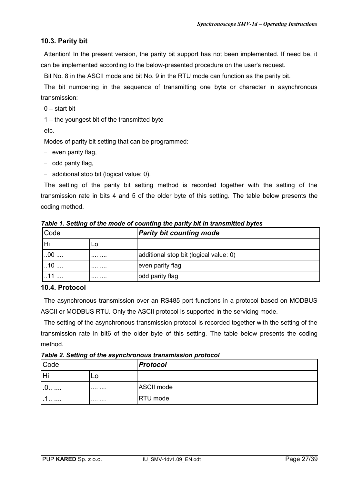#### **10.3. Parity bit**

Attention! In the present version, the parity bit support has not been implemented. If need be, it can be implemented according to the below-presented procedure on the user's request.

Bit No. 8 in the ASCII mode and bit No. 9 in the RTU mode can function as the parity bit.

The bit numbering in the sequence of transmitting one byte or character in asynchronous transmission:

 $0 - start hit$ 

1 – the youngest bit of the transmitted byte

etc.

Modes of parity bit setting that can be programmed:

- $-$  even parity flag,
- $-$  odd parity flag,
- $-$  additional stop bit (logical value: 0).

The setting of the parity bit setting method is recorded together with the setting of the transmission rate in bits 4 and 5 of the older byte of this setting. The table below presents the coding method.

| Code       |    | <b>Parity bit counting mode</b>        |
|------------|----|----------------------------------------|
| Hi         | LO |                                        |
| $\cdot 00$ | .  | additional stop bit (logical value: 0) |
| $\cdot$ 0  |    | even parity flag                       |
| 11         | .  | odd parity flag                        |

*Table 1. Setting of the mode of counting the parity bit in transmitted bytes*

#### **10.4. Protocol**

The asynchronous transmission over an RS485 port functions in a protocol based on MODBUS ASCII or MODBUS RTU. Only the ASCII protocol is supported in the servicing mode.

The setting of the asynchronous transmission protocol is recorded together with the setting of the transmission rate in bit6 of the older byte of this setting. The table below presents the coding method.

*Table 2. Setting of the asynchronous transmission protocol*

| Code |    | <b>Protocol</b> |
|------|----|-----------------|
| H    | LO |                 |
| .v   | .  | ASCII mode      |
| .    | .  | RTU mode        |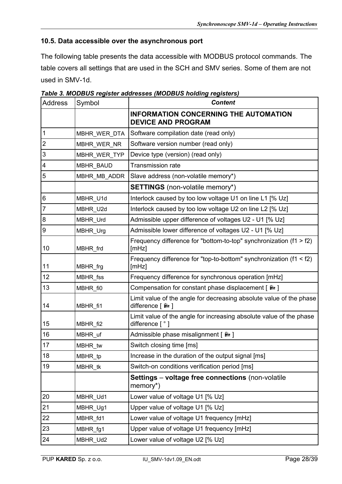#### **10.5. Data accessible over the asynchronous port**

The following table presents the data accessible with MODBUS protocol commands. The table covers all settings that are used in the SCH and SMV series. Some of them are not used in SMV-1d.

| <b>Address</b> | Symbol           | <b>Content</b>                                                                          |  |  |
|----------------|------------------|-----------------------------------------------------------------------------------------|--|--|
|                |                  | <b>INFORMATION CONCERNING THE AUTOMATION</b><br><b>DEVICE AND PROGRAM</b>               |  |  |
| 1              | MBHR_WER_DTA     | Software compilation date (read only)                                                   |  |  |
| $\overline{2}$ | MBHR_WER_NR      | Software version number (read only)                                                     |  |  |
| 3              | MBHR WER TYP     | Device type (version) (read only)                                                       |  |  |
| 4              | <b>MBHR BAUD</b> | <b>Transmission rate</b>                                                                |  |  |
| 5              | MBHR MB ADDR     | Slave address (non-volatile memory*)                                                    |  |  |
|                |                  | <b>SETTINGS</b> (non-volatile memory*)                                                  |  |  |
| $\,6$          | MBHR_U1d         | Interlock caused by too low voltage U1 on line L1 [% Uz]                                |  |  |
| $\overline{7}$ | MBHR_U2d         | Interlock caused by too low voltage U2 on line L2 [% Uz]                                |  |  |
| 8              | MBHR Urd         | Admissible upper difference of voltages U2 - U1 [% Uz]                                  |  |  |
| 9              | MBHR_Urg         | Admissible lower difference of voltages U2 - U1 [% Uz]                                  |  |  |
| 10             | MBHR_frd         | Frequency difference for "bottom-to-top" synchronization $(f1 > f2)$<br>[ <b>m</b> Hz]  |  |  |
| 11             | MBHR_frg         | Frequency difference for "top-to-bottom" synchronization $(f1 < f2)$<br>[ <b>m</b> Hz]  |  |  |
| 12             | MBHR_fss         | Frequency difference for synchronous operation [mHz]                                    |  |  |
| 13             | MBHR_fi0         | Compensation for constant phase displacement [ <b>A</b> ]                               |  |  |
| 14             | MBHR_fi1         | Limit value of the angle for decreasing absolute value of the phase<br>difference [ 論 ] |  |  |
| 15             | MBHR_fi2         | Limit value of the angle for increasing absolute value of the phase<br>difference [°]   |  |  |
| 16             | MBHR_uf          | Admissible phase misalignment [ a ]                                                     |  |  |
| 17             | MBHR_tw          | Switch closing time [ms]                                                                |  |  |
| 18             | MBHR_tp          | Increase in the duration of the output signal [ms]                                      |  |  |
| 19             | MBHR tk          | Switch-on conditions verification period [ms]                                           |  |  |
|                |                  | Settings - voltage free connections (non-volatile<br>memory*)                           |  |  |
| 20             | MBHR_Ud1         | Lower value of voltage U1 [% Uz]                                                        |  |  |
| 21             | MBHR_Ug1         | Upper value of voltage U1 [% Uz]                                                        |  |  |
| 22             | MBHR_fd1         | Lower value of voltage U1 frequency [mHz]                                               |  |  |
| 23             | MBHR_fg1         | Upper value of voltage U1 frequency [mHz]                                               |  |  |
| 24             | MBHR_Ud2         | Lower value of voltage U2 [% Uz]                                                        |  |  |

*Table 3. MODBUS register addresses (MODBUS holding registers)*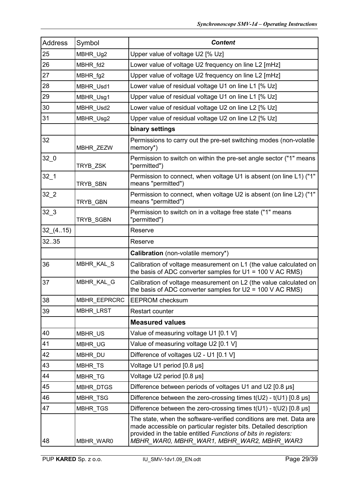| <b>Address</b>  | Symbol           | <b>Content</b>                                                                                                                                                                                                                                          |  |
|-----------------|------------------|---------------------------------------------------------------------------------------------------------------------------------------------------------------------------------------------------------------------------------------------------------|--|
| 25              | MBHR_Ug2         | Upper value of voltage U2 [% Uz]                                                                                                                                                                                                                        |  |
| 26              | MBHR_fd2         | Lower value of voltage U2 frequency on line L2 [mHz]                                                                                                                                                                                                    |  |
| 27              | MBHR_fg2         | Upper value of voltage U2 frequency on line L2 [mHz]                                                                                                                                                                                                    |  |
| 28              | MBHR_Usd1        | Lower value of residual voltage U1 on line L1 [% Uz]                                                                                                                                                                                                    |  |
| 29              | MBHR_Usg1        | Upper value of residual voltage U1 on line L1 [% Uz]                                                                                                                                                                                                    |  |
| 30              | MBHR_Usd2        | Lower value of residual voltage U2 on line L2 [% Uz]                                                                                                                                                                                                    |  |
| 31              | MBHR_Usg2        | Upper value of residual voltage U2 on line L2 [% Uz]                                                                                                                                                                                                    |  |
|                 |                  | binary settings                                                                                                                                                                                                                                         |  |
| 32              | MBHR_ZEZW        | Permissions to carry out the pre-set switching modes (non-volatile<br>memory*)                                                                                                                                                                          |  |
| 32 <sub>0</sub> | TRYB_ZSK         | Permission to switch on within the pre-set angle sector ("1" means<br>"permitted")                                                                                                                                                                      |  |
| $32-1$          | TRYB_SBN         | Permission to connect, when voltage U1 is absent (on line L1) ("1"<br>means "permitted")                                                                                                                                                                |  |
| 32 <sub>2</sub> | TRYB_GBN         | Permission to connect, when voltage U2 is absent (on line L2) ("1"<br>means "permitted")                                                                                                                                                                |  |
| $32-3$          | TRYB_SGBN        | Permission to switch on in a voltage free state ("1" means<br>"permitted")                                                                                                                                                                              |  |
| 32(4.15)        |                  | Reserve                                                                                                                                                                                                                                                 |  |
| 32.35           |                  | Reserve                                                                                                                                                                                                                                                 |  |
|                 |                  | Calibration (non-volatile memory*)                                                                                                                                                                                                                      |  |
| 36              | MBHR_KAL_S       | Calibration of voltage measurement on L1 (the value calculated on<br>the basis of ADC converter samples for $U1 = 100$ V AC RMS)                                                                                                                        |  |
| 37              | MBHR_KAL_G       | Calibration of voltage measurement on L2 (the value calculated on<br>the basis of ADC converter samples for $U2 = 100$ V AC RMS)                                                                                                                        |  |
| 38              | MBHR EEPRCRC     | <b>EEPROM</b> checksum                                                                                                                                                                                                                                  |  |
| 39              | MBHR_LRST        | Restart counter                                                                                                                                                                                                                                         |  |
|                 |                  | <b>Measured values</b>                                                                                                                                                                                                                                  |  |
| 40              | MBHR US          | Value of measuring voltage U1 [0.1 V]                                                                                                                                                                                                                   |  |
| 41              | MBHR UG          | Value of measuring voltage U2 [0.1 V]                                                                                                                                                                                                                   |  |
| 42              | MBHR DU          | Difference of voltages U2 - U1 [0.1 V]                                                                                                                                                                                                                  |  |
| 43              | <b>MBHR TS</b>   | Voltage U1 period [0.8 µs]                                                                                                                                                                                                                              |  |
| 44              | <b>MBHR TG</b>   | Voltage U2 period [0.8 µs]                                                                                                                                                                                                                              |  |
| 45              | <b>MBHR DTGS</b> | Difference between periods of voltages U1 and U2 [0.8 µs]                                                                                                                                                                                               |  |
| 46              | MBHR TSG         | Difference between the zero-crossing times $t(U2) - t(U1)$ [0.8 $\mu$ s]                                                                                                                                                                                |  |
| 47              | <b>MBHR TGS</b>  | Difference between the zero-crossing times $t(U1) - t(U2)$ [0.8 $\mu$ s]                                                                                                                                                                                |  |
| 48              | MBHR_WAR0        | The state, when the software-verified conditions are met. Data are<br>made accessible on particular register bits. Detailed description<br>provided in the table entitled Functions of bits in registers:<br>MBHR_WAR0, MBHR_WAR1, MBHR_WAR2, MBHR_WAR3 |  |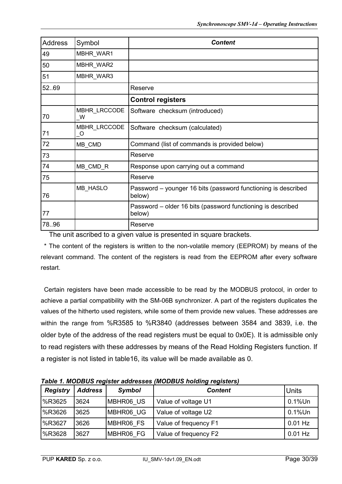| <b>Address</b> | Symbol                                                 | <b>Content</b>                                                          |
|----------------|--------------------------------------------------------|-------------------------------------------------------------------------|
| 49             | <b>MBHR WAR1</b>                                       |                                                                         |
| 50             | <b>MBHR WAR2</b>                                       |                                                                         |
| 51             | MBHR_WAR3                                              |                                                                         |
| 52.69          |                                                        | Reserve                                                                 |
|                |                                                        | <b>Control registers</b>                                                |
| 70             | MBHR_LRCCODE<br>W                                      | Software checksum (introduced)                                          |
| 71             | MBHR LRCCODE<br>$\overline{\phantom{0}}^{\,\,\,\circ}$ | Software checksum (calculated)                                          |
| 72             | MB_CMD                                                 | Command (list of commands is provided below)                            |
| 73             |                                                        | Reserve                                                                 |
| 74             | MB_CMD_R                                               | Response upon carrying out a command                                    |
| 75             |                                                        | Reserve                                                                 |
| 76             | MB_HASLO                                               | Password - younger 16 bits (password functioning is described<br>below) |
| 77             |                                                        | Password – older 16 bits (password functioning is described<br>below)   |
| 78.96          |                                                        | Reserve                                                                 |

The unit ascribed to a given value is presented in square brackets.

\* The content of the registers is written to the non-volatile memory (EEPROM) by means of the relevant command. The content of the registers is read from the EEPROM after every software restart.

Certain registers have been made accessible to be read by the MODBUS protocol, in order to achieve a partial compatibility with the SM-06B synchronizer. A part of the registers duplicates the values of the hitherto used registers, while some of them provide new values. These addresses are within the range from %R3585 to %R3840 (addresses between 3584 and 3839, i.e. the older byte of the address of the read registers must be equal to 0x0E). It is admissible only to read registers with these addresses by means of the Read Holding Registers function. If a register is not listed in table16, its value will be made available as 0.

| <b>Registry</b> | <b>Address</b> | <b>Symbol</b> | <b>Content</b>        | <b>Units</b> |
|-----------------|----------------|---------------|-----------------------|--------------|
| SR3625   %R     | 3624           | MBHR06 US     | Value of voltage U1   | $0.1\%$ Un   |
| <b>9</b> 6R3626 | 3625           | MBHR06 UG     | Value of voltage U2   | $0.1\%$ Un   |
| %R3627          | 3626           | MBHR06 FS     | Value of frequency F1 | $0.01$ Hz    |
| <b>9</b> 6R3628 | 3627           | MBHR06 FG     | Value of frequency F2 | $0.01$ Hz    |

*Table 1. MODBUS register addresses (MODBUS holding registers)*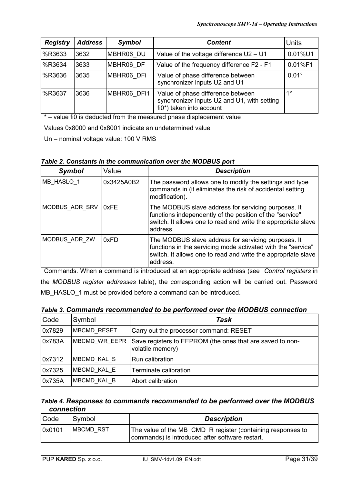| <b>Registry</b> | <b>Address</b> | <b>Symbol</b> | <b>Content</b>                                                                                               | <b>Units</b> |
|-----------------|----------------|---------------|--------------------------------------------------------------------------------------------------------------|--------------|
| <b>9</b> 6R3633 | 3632           | MBHR06 DU     | Value of the voltage difference $U2 - U1$                                                                    | 0.01%U1      |
| S63634          | 3633           | MBHR06 DF     | Value of the frequency difference F2 - F1                                                                    | 0.01%F1      |
| S63636          | 3635           | MBHR06 DFi    | Value of phase difference between<br>synchronizer inputs U2 and U1                                           | $0.01^\circ$ |
| <b>%R3637</b>   | 3636           | MBHR06 DFi1   | Value of phase difference between<br>synchronizer inputs U2 and U1, with setting<br>fi0*) taken into account | 40           |

\* – value fi0 is deducted from the measured phase displacement value

Values 0x8000 and 0x8001 indicate an undetermined value

Un – nominal voltage value: 100 V RMS

#### *Table 2. Constants in the communication over the MODBUS port*

| <b>Symbol</b>  | Value      | <b>Description</b>                                                                                                                                                                               |
|----------------|------------|--------------------------------------------------------------------------------------------------------------------------------------------------------------------------------------------------|
| MB HASLO 1     | 0x3425A0B2 | The password allows one to modify the settings and type<br>commands in (it eliminates the risk of accidental setting<br>modification).                                                           |
| MODBUS ADR SRV | 0xFE       | The MODBUS slave address for servicing purposes. It<br>functions independently of the position of the "service"<br>switch. It allows one to read and write the appropriate slave<br>address.     |
| MODBUS ADR ZW  | 0xFD       | The MODBUS slave address for servicing purposes. It<br>functions in the servicing mode activated with the "service"<br>switch. It allows one to read and write the appropriate slave<br>address. |

Commands. When a command is introduced at an appropriate address (see *Control registers* in the *MODBUS register addresses* table), the corresponding action will be carried out. Password MB\_HASLO\_1 must be provided before a command can be introduced.

|  | Table 3. Commands recommended to be performed over the MODBUS connection |
|--|--------------------------------------------------------------------------|
|--|--------------------------------------------------------------------------|

| Code   | Symbol             | Task                                                                          |  |  |  |
|--------|--------------------|-------------------------------------------------------------------------------|--|--|--|
| 0x7829 | <b>MBCMD RESET</b> | Carry out the processor command: RESET                                        |  |  |  |
| 0x783A | MBCMD WR EEPR      | Save registers to EEPROM (the ones that are saved to non-<br>volatile memory) |  |  |  |
| 0x7312 | MBCMD KAL S        | Run calibration                                                               |  |  |  |
| 0x7325 | MBCMD KAL E        | Terminate calibration                                                         |  |  |  |
| 0x735A | MBCMD KAL B        | Abort calibration                                                             |  |  |  |

#### *Table 4. Responses to commands recommended to be performed over the MODBUS connection*

| <b>Code</b> | Symbol     | <b>Description</b>                                                                                             |  |  |  |
|-------------|------------|----------------------------------------------------------------------------------------------------------------|--|--|--|
| 0x0101      | IMBCMD RST | The value of the MB_CMD_R register (containing responses to<br>commands) is introduced after software restart. |  |  |  |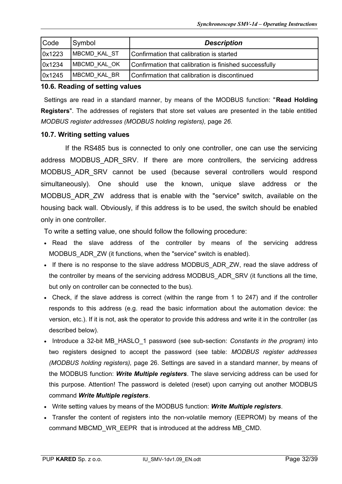| Code   | Symbol               | <b>Description</b>                                     |  |  |  |
|--------|----------------------|--------------------------------------------------------|--|--|--|
| 0x1223 | <b>IMBCMD KAL ST</b> | Confirmation that calibration is started               |  |  |  |
| 0x1234 | MBCMD KAL OK         | Confirmation that calibration is finished successfully |  |  |  |
| 0x1245 | MBCMD KAL BR         | Confirmation that calibration is discontinued          |  |  |  |

#### **10.6. Reading of setting values**

Settings are read in a standard manner, by means of the MODBUS function: "**Read Holding Registers**". The addresses of registers that store set values are presented in the table entitled *MODBUS register addresses (MODBUS holding registers),* page *26*.

#### **10.7. Writing setting values**

If the RS485 bus is connected to only one controller, one can use the servicing address MODBUS ADR SRV. If there are more controllers, the servicing address MODBUS\_ADR\_SRV cannot be used (because several controllers would respond simultaneously). One should use the known, unique slave address or the MODBUS ADR ZW address that is enable with the "service" switch, available on the housing back wall. Obviously, if this address is to be used, the switch should be enabled only in one controller.

To write a setting value, one should follow the following procedure:

- Read the slave address of the controller by means of the servicing address MODBUS ADR ZW (it functions, when the "service" switch is enabled).
- If there is no response to the slave address MODBUS\_ADR\_ZW, read the slave address of the controller by means of the servicing address MODBUS ADR SRV (it functions all the time, but only on controller can be connected to the bus).
- Check, if the slave address is correct (within the range from 1 to 247) and if the controller responds to this address (e.g. read the basic information about the automation device: the version, etc.). If it is not, ask the operator to provide this address and write it in the controller (as described below).
- Introduce a 32-bit MB\_HASLO\_1 password (see sub-section: *Constants in the program)* into two registers designed to accept the password (see table: *MODBUS register addresses (MODBUS holding registers),* page 26. Settings are saved in a standard manner, by means of the MODBUS function: *Write Multiple registers*. The slave servicing address can be used for this purpose. Attention! The password is deleted (reset) upon carrying out another MODBUS command *Write Multiple registers*.
- Write setting values by means of the MODBUS function: *Write Multiple registers*.
- Transfer the content of registers into the non-volatile memory (EEPROM) by means of the command MBCMD\_WR\_EEPR that is introduced at the address MB\_CMD.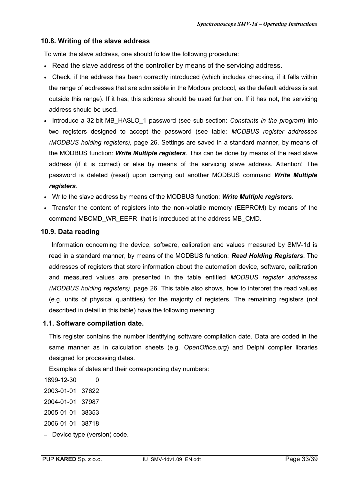#### **10.8. Writing of the slave address**

To write the slave address, one should follow the following procedure:

- Read the slave address of the controller by means of the servicing address.
- Check, if the address has been correctly introduced (which includes checking, if it falls within the range of addresses that are admissible in the Modbus protocol, as the default address is set outside this range). If it has, this address should be used further on. If it has not, the servicing address should be used.
- Introduce a 32-bit MB\_HASLO\_1 password (see sub-section: *Constants in the program*) into two registers designed to accept the password (see table: *MODBUS register addresses (MODBUS holding registers),* page 26. Settings are saved in a standard manner, by means of the MODBUS function: *Write Multiple registers*. This can be done by means of the read slave address (if it is correct) or else by means of the servicing slave address. Attention! The password is deleted (reset) upon carrying out another MODBUS command *Write Multiple registers*.
- Write the slave address by means of the MODBUS function: *Write Multiple registers*.
- Transfer the content of registers into the non-volatile memory (EEPROM) by means of the command MBCMD\_WR\_EEPR\_that is introduced at the address MB\_CMD.

#### **10.9. Data reading**

 Information concerning the device, software, calibration and values measured by SMV-1d is read in a standard manner, by means of the MODBUS function: *Read Holding Registers*. The addresses of registers that store information about the automation device, software, calibration and measured values are presented in the table entitled *MODBUS register addresses (MODBUS holding registers)*, page 26. This table also shows, how to interpret the read values (e.g. units of physical quantities) for the majority of registers. The remaining registers (not described in detail in this table) have the following meaning:

#### **1.1. Software compilation date.**

This register contains the number identifying software compilation date. Data are coded in the same manner as in calculation sheets (e.g. *OpenOffice.org*) and Delphi complier libraries designed for processing dates.

Examples of dates and their corresponding day numbers:

- 1899-12-30 0
- 2003-01-01 37622
- 2004-01-01 37987
- 2005-01-01 38353
- 2006-01-01 38718
- Device type (version) code.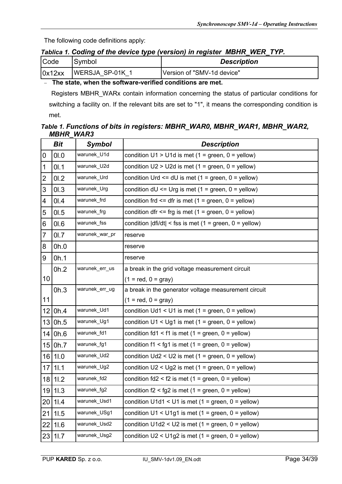The following code definitions apply:

#### *Tablica 1. Coding of the device type (version) in register MBHR\_WER\_TYP.*

| Code   | Symbol        | <b>Description</b>         |  |  |  |
|--------|---------------|----------------------------|--|--|--|
| 0x12xx | WERSJA SP-01K | Version of "SMV-1d device" |  |  |  |

#### **The state, when the software-verified conditions are met.**

 Registers MBHR\_WARx contain information concerning the status of particular conditions for switching a facility on. If the relevant bits are set to "1", it means the corresponding condition is met.

#### *Table 1. Functions of bits in registers: MBHR\_WAR0, MBHR\_WAR1, MBHR\_WAR2, MBHR\_WAR3*

|                         | Bit         | <b>Symbol</b>  | <b>Description</b>                                                            |  |  |  |  |  |
|-------------------------|-------------|----------------|-------------------------------------------------------------------------------|--|--|--|--|--|
| $\pmb{0}$               | 01.0        | warunek_U1d    | condition $U1 > U1d$ is met (1 = green, 0 = yellow)                           |  |  |  |  |  |
| $\mathbf 1$             | 01.1        | warunek_U2d    | condition $U2 > U2d$ is met (1 = green, 0 = yellow)                           |  |  |  |  |  |
| $\overline{\mathbf{c}}$ | 01.2        | warunek_Urd    | condition Urd $\leq$ dU is met (1 = green, 0 = yellow)                        |  |  |  |  |  |
| 3                       | 01.3        | warunek_Urg    | condition $dU \leq Urg$ is met (1 = green, 0 = yellow)                        |  |  |  |  |  |
| 4                       | 0I.4        | warunek_frd    | condition frd $\le$ = dfr is met (1 = green, 0 = yellow)                      |  |  |  |  |  |
| 5                       | 01.5        | warunek_frg    | condition dfr $\leq$ frg is met (1 = green, 0 = yellow)                       |  |  |  |  |  |
| 6                       | 01.6        | warunek_fss    | condition $\left  \text{dfi/dt} \right $ < fss is met (1 = green, 0 = yellow) |  |  |  |  |  |
| $\overline{7}$          | 01.7        | warunek_war_pr | reserve                                                                       |  |  |  |  |  |
| 8                       | 0h.0        |                | reserve                                                                       |  |  |  |  |  |
| 9                       | 0h.1        |                | reserve                                                                       |  |  |  |  |  |
|                         | 0h.2        | warunek_err_us | a break in the grid voltage measurement circuit                               |  |  |  |  |  |
| 10 <sup>°</sup>         |             |                | $(1 = red, 0 = gray)$                                                         |  |  |  |  |  |
|                         | 0h.3        | warunek_err_ug | a break in the generator voltage measurement circuit                          |  |  |  |  |  |
| 11                      |             |                | $(1 = red, 0 = gray)$                                                         |  |  |  |  |  |
| 12                      | 0h.4        | warunek_Ud1    | condition $Ud1 < U1$ is met (1 = green, 0 = yellow)                           |  |  |  |  |  |
|                         | 13 0h.5     | warunek_Ug1    | condition $U1 < Ug1$ is met (1 = green, 0 = yellow)                           |  |  |  |  |  |
| 14                      | 0h.6        | warunek_fd1    | condition fd1 < f1 is met $(1 = green, 0 = yellow)$                           |  |  |  |  |  |
|                         | 15 0h.7     | warunek_fg1    | condition $f1 < fg1$ is met $(1 = green, 0 = yellow)$                         |  |  |  |  |  |
|                         | 16 11.0     | warunek_Ud2    | condition $Ud2 < U2$ is met (1 = green, 0 = yellow)                           |  |  |  |  |  |
|                         | $17$   1  1 | warunek_Ug2    | condition $U2 < Ug2$ is met (1 = green, 0 = yellow)                           |  |  |  |  |  |
|                         | 18 11.2     | warunek_fd2    | condition $fd2 < f2$ is met $(1 = green, 0 = yellow)$                         |  |  |  |  |  |
|                         | 19 11.3     | warunek_fg2    | condition $f2 < fg2$ is met $(1 = green, 0 = yellow)$                         |  |  |  |  |  |
|                         | 20 11.4     | warunek_Usd1   | condition U1d1 < U1 is met (1 = green, 0 = yellow)                            |  |  |  |  |  |
| 21                      | 11.5        | warunek_USg1   | condition $U1 < U1g1$ is met (1 = green, 0 = yellow)                          |  |  |  |  |  |
| 22                      | 11.6        | warunek_Usd2   | condition $U1d2 < U2$ is met (1 = green, 0 = yellow)                          |  |  |  |  |  |
|                         | 23 11.7     | warunek_Usg2   | condition $U2 < U1g2$ is met (1 = green, 0 = yellow)                          |  |  |  |  |  |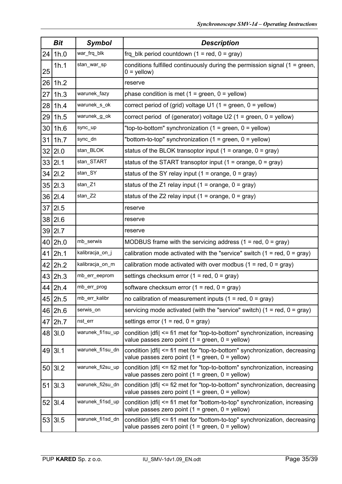|    | Bit     | <b>Symbol</b>    | <b>Description</b>                                                                                                               |  |  |  |  |  |
|----|---------|------------------|----------------------------------------------------------------------------------------------------------------------------------|--|--|--|--|--|
| 24 | 1h.0    | war_frq_blk      | frq_blk period countdown $(1 = red, 0 = gray)$                                                                                   |  |  |  |  |  |
| 25 | 1h.1    | stan_war_sp      | conditions fulfilled continuously during the permission signal (1 = green,<br>$0 =$ yellow)                                      |  |  |  |  |  |
| 26 | 1h.2    |                  | reserve                                                                                                                          |  |  |  |  |  |
| 27 | 1h.3    | warunek_fazy     | phase condition is met $(1 = green, 0 = yellow)$                                                                                 |  |  |  |  |  |
| 28 | 1h.4    | warunek_s_ok     | correct period of (grid) voltage U1 (1 = green, $0 =$ yellow)                                                                    |  |  |  |  |  |
| 29 | 1h.5    | warunek_g_ok     | correct period of (generator) voltage U2 (1 = green, $0 =$ yellow)                                                               |  |  |  |  |  |
|    | 30 1h.6 | sync_up          | "top-to-bottom" synchronization $(1 = green, 0 = yellow)$                                                                        |  |  |  |  |  |
|    | 31 1h.7 | sync_dn          | "bottom-to-top" synchronization $(1 = green, 0 = yellow)$                                                                        |  |  |  |  |  |
| 32 | 21.0    | stan_BLOK        | status of the BLOK transoptor input $(1 = \text{orange}, 0 = \text{gray})$                                                       |  |  |  |  |  |
| 33 | 2I.1    | stan_START       | status of the START transoptor input $(1 = \text{orange}, 0 = \text{gray})$                                                      |  |  |  |  |  |
|    | 34 21.2 | stan_SY          | status of the SY relay input $(1 = \text{orange}, 0 = \text{gray})$                                                              |  |  |  |  |  |
| 35 | 21.3    | stan_Z1          | status of the Z1 relay input (1 = orange, $0 = \text{gray}$ )                                                                    |  |  |  |  |  |
|    | 36 21.4 | stan_Z2          | status of the Z2 relay input (1 = orange, $0 = gray$ )                                                                           |  |  |  |  |  |
|    | 37 21.5 |                  | reserve                                                                                                                          |  |  |  |  |  |
|    | 38 21.6 |                  | reserve                                                                                                                          |  |  |  |  |  |
| 39 | 21.7    |                  | reserve                                                                                                                          |  |  |  |  |  |
|    | 40 2h.0 | mb_serwis        | MODBUS frame with the servicing address $(1 = red, 0 = gray)$                                                                    |  |  |  |  |  |
| 41 | 2h.1    | kalibracja_on_j  | calibration mode activated with the "service" switch $(1 = red, 0 = gray)$                                                       |  |  |  |  |  |
| 42 | 2h.2    | kalibracja_on_m  | calibration mode activated with over modbus $(1 = red, 0 = gray)$                                                                |  |  |  |  |  |
|    | 43 2h.3 | mb_err_eeprom    | settings checksum error $(1 = red, 0 = gray)$                                                                                    |  |  |  |  |  |
|    | 44 2h.4 | mb_err_prog      | software checksum error $(1 = red, 0 = gray)$                                                                                    |  |  |  |  |  |
|    | 45 2h.5 | mb_err_kalibr    | no calibration of measurement inputs $(1 = red, 0 = gray)$                                                                       |  |  |  |  |  |
|    | 46 2h.6 | serwis_on        | servicing mode activated (with the "service" switch) $(1 = red, 0 = gray)$                                                       |  |  |  |  |  |
|    | 47 2h.7 | nst_err          | settings error $(1 = red, 0 = gray)$                                                                                             |  |  |  |  |  |
|    | 48 31.0 | warunek_fi1su_up | condition  dfi  <= fi1 met for "top-to-bottom" synchronization, increasing<br>value passes zero point $(1 = green, 0 = yellow)$  |  |  |  |  |  |
|    | 49 31.1 | warunek_fi1su_dn | condition   dfi  <= fi1 met for "top-to-bottom" synchronization, decreasing<br>value passes zero point (1 = green, $0 =$ yellow) |  |  |  |  |  |
|    | 50 31.2 | warunek_fi2su_up | condition   dfi  <= fi2 met for "top-to-bottom" synchronization, increasing<br>value passes zero point $(1 = green, 0 = yellow)$ |  |  |  |  |  |
| 51 | 3I.3    | warunek_fi2su_dn | condition   dfi  <= fi2 met for "top-to-bottom" synchronization, decreasing<br>value passes zero point (1 = green, $0 =$ yellow) |  |  |  |  |  |
| 52 | 3I.4    | warunek_fi1sd_up | condition   dfi  <= fi1 met for "bottom-to-top" synchronization, increasing<br>value passes zero point $(1 = green, 0 = yellow)$ |  |  |  |  |  |
|    | 53 3I.5 | warunek_fi1sd_dn | condition   dfi  <= fi1 met for "bottom-to-top" synchronization, decreasing<br>value passes zero point (1 = green, $0 =$ yellow) |  |  |  |  |  |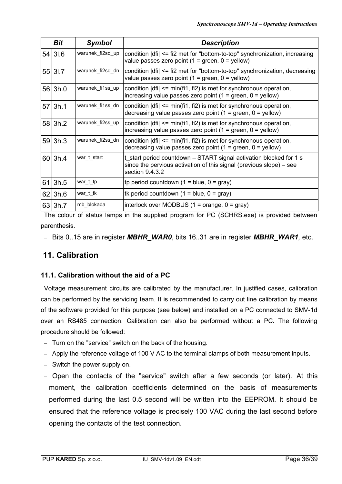| Bit        | <b>Symbol</b>    | <b>Description</b>                                                                                                                                           |  |  |  |  |  |
|------------|------------------|--------------------------------------------------------------------------------------------------------------------------------------------------------------|--|--|--|--|--|
| 54 3I.6    | warunek_fi2sd_up | condition $\text{dfi} \leq f\text{.}$ and for "bottom-to-top" synchronization, increasing<br>value passes zero point $(1 = green, 0 = yellow)$               |  |  |  |  |  |
| 55 31.7    | warunek_fi2sd_dn | condition $\text{d}f$ = fi2 met for "bottom-to-top" synchronization, decreasing<br>value passes zero point $(1 = green, 0 = yellow)$                         |  |  |  |  |  |
| 56 3h.0    | warunek_fi1ss_up | condition $\text{d}f$ = min(fi1, fi2) is met for synchronous operation,<br>increasing value passes zero point $(1 = green, 0 = yellow)$                      |  |  |  |  |  |
| $57$  3h.1 | warunek_fi1ss_dn | condition $\text{d}f$ = min(fi1, fi2) is met for synchronous operation,<br>decreasing value passes zero point $(1 = green, 0 = yellow)$                      |  |  |  |  |  |
| 58 3h.2    | warunek_fi2ss_up | condition $\text{d}f$ = min(fi1, fi2) is met for synchronous operation,<br>increasing value passes zero point $(1 = green, 0 = yellow)$                      |  |  |  |  |  |
| 59 3h.3    | warunek_fi2ss_dn | condition $\text{d}f$ = min(fi1, fi2) is met for synchronous operation,<br>decreasing value passes zero point $(1 = green, 0 = yellow)$                      |  |  |  |  |  |
| 60 3h.4    | war_t_start      | t start period countdown – START signal activation blocked for 1 s<br>since the pervious activation of this signal (previous slope) – see<br>section 9.4.3.2 |  |  |  |  |  |
| $61$  3h.5 | war_t_tp         | tp period countdown $(1 = blue, 0 = gray)$                                                                                                                   |  |  |  |  |  |
| $62$  3h.6 | war_t_tk         | tk period countdown $(1 = blue, 0 = gray)$                                                                                                                   |  |  |  |  |  |
| 63 3h.7    | mb_blokada       | interlock over MODBUS $(1 = \text{orange}, 0 = \text{gray})$                                                                                                 |  |  |  |  |  |

The colour of status lamps in the supplied program for PC (SCHRS.exe) is provided between parenthesis.

Bits 0..15 are in register *MBHR\_WAR0*, bits 16..31 are in register *MBHR\_WAR1,* etc.

# **11. Calibration**

#### **11.1. Calibration without the aid of a PC**

Voltage measurement circuits are calibrated by the manufacturer. In justified cases, calibration can be performed by the servicing team. It is recommended to carry out line calibration by means of the software provided for this purpose (see below) and installed on a PC connected to SMV-1d over an RS485 connection. Calibration can also be performed without a PC. The following procedure should be followed:

- Turn on the "service" switch on the back of the housing.
- $-$  Apply the reference voltage of 100 V AC to the terminal clamps of both measurement inputs.
- Switch the power supply on.
- Open the contacts of the "service" switch after a few seconds (or later). At this moment, the calibration coefficients determined on the basis of measurements performed during the last 0.5 second will be written into the EEPROM. It should be ensured that the reference voltage is precisely 100 VAC during the last second before opening the contacts of the test connection.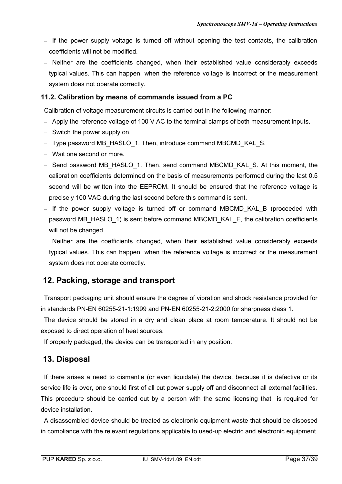- If the power supply voltage is turned off without opening the test contacts, the calibration coefficients will not be modified.
- Neither are the coefficients changed, when their established value considerably exceeds typical values. This can happen, when the reference voltage is incorrect or the measurement system does not operate correctly.

#### **11.2. Calibration by means of commands issued from a PC**

Calibration of voltage measurement circuits is carried out in the following manner:

- Apply the reference voltage of 100 V AC to the terminal clamps of both measurement inputs.
- Switch the power supply on.
- Type password MB\_HASLO\_1. Then, introduce command MBCMD\_KAL\_S.
- Wait one second or more.
- Send password MB\_HASLO\_1. Then, send command MBCMD\_KAL\_S. At this moment, the calibration coefficients determined on the basis of measurements performed during the last 0.5 second will be written into the EEPROM. It should be ensured that the reference voltage is precisely 100 VAC during the last second before this command is sent.
- If the power supply voltage is turned off or command MBCMD KAL B (proceeded with password MB\_HASLO\_1) is sent before command MBCMD\_KAL\_E, the calibration coefficients will not be changed.
- Neither are the coefficients changed, when their established value considerably exceeds typical values. This can happen, when the reference voltage is incorrect or the measurement system does not operate correctly.

### **12. Packing, storage and transport**

Transport packaging unit should ensure the degree of vibration and shock resistance provided for in standards PN-EN 60255-21-1:1999 and PN-EN 60255-21-2:2000 for sharpness class 1.

The device should be stored in a dry and clean place at room temperature. It should not be exposed to direct operation of heat sources.

If properly packaged, the device can be transported in any position.

#### **13. Disposal**

If there arises a need to dismantle (or even liquidate) the device, because it is defective or its service life is over, one should first of all cut power supply off and disconnect all external facilities. This procedure should be carried out by a person with the same licensing that is required for device installation.

A disassembled device should be treated as electronic equipment waste that should be disposed in compliance with the relevant regulations applicable to used-up electric and electronic equipment.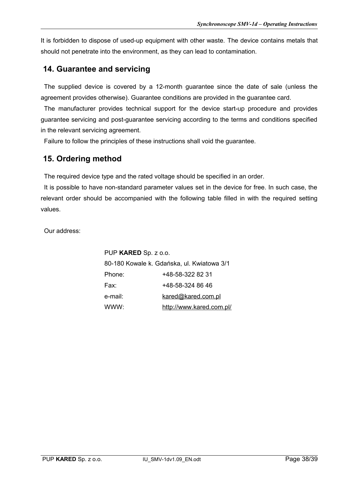It is forbidden to dispose of used-up equipment with other waste. The device contains metals that should not penetrate into the environment, as they can lead to contamination.

## **14. Guarantee and servicing**

The supplied device is covered by a 12-month guarantee since the date of sale (unless the agreement provides otherwise). Guarantee conditions are provided in the guarantee card.

The manufacturer provides technical support for the device start-up procedure and provides guarantee servicing and post-guarantee servicing according to the terms and conditions specified in the relevant servicing agreement.

Failure to follow the principles of these instructions shall void the guarantee.

# **15. Ordering method**

The required device type and the rated voltage should be specified in an order.

It is possible to have non-standard parameter values set in the device for free. In such case, the relevant order should be accompanied with the following table filled in with the required setting values.

Our address:

PUP **KARED** Sp. z o.o. 80-180 Kowale k. Gdańska, ul. Kwiatowa 3/1 Phone: +48-58-322 82 31 Fax: +48-58-324 86 46 e-mail: [kared@kared.com.pl](mailto:kared@kared.com.pl) WWW: <http://www.kared.com.pl/>